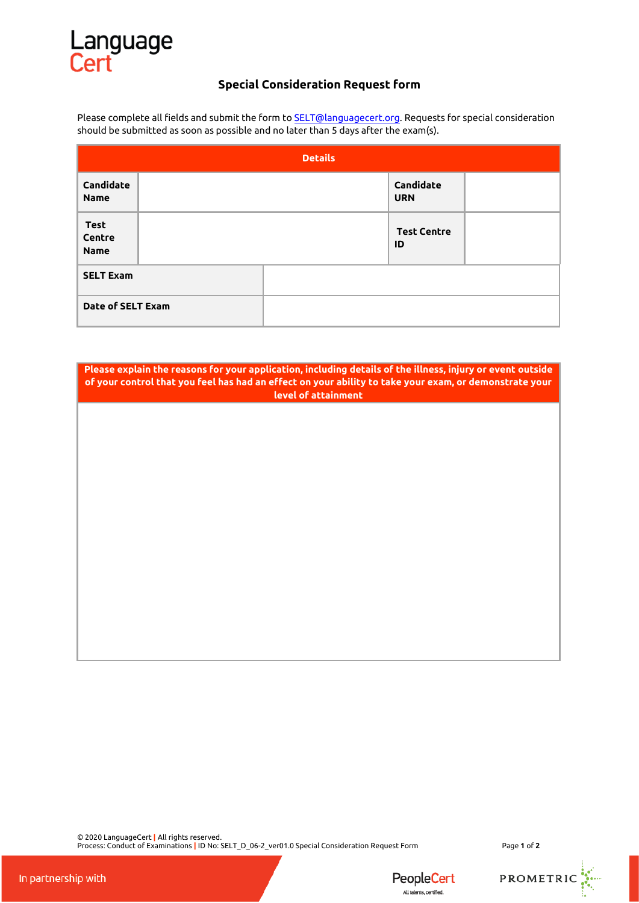## Language<br>Cert

## **Special Consideration Request form**

Please complete all fields and submit the form to **SELT@languagecert.org**. Requests for special consideration should be submitted as soon as possible and no later than 5 days after the exam(s).

| <b>Details</b>                       |  |  |                          |  |  |
|--------------------------------------|--|--|--------------------------|--|--|
| Candidate<br><b>Name</b>             |  |  | Candidate<br><b>URN</b>  |  |  |
| <b>Test</b><br>Centre<br><b>Name</b> |  |  | <b>Test Centre</b><br>ID |  |  |
| <b>SELT Exam</b>                     |  |  |                          |  |  |
| Date of SELT Exam                    |  |  |                          |  |  |

**Please explain the reasons for your application, including details of the illness, injury or event outside of your control that you feel has had an effect on your ability to take your exam, or demonstrate your level of attainment**

© 2020 LanguageCert **|** All rights reserved. Process: Conduct of Examinations **|** ID No: SELT\_D\_06-2\_ver01.0 Special Consideration Request Form Page **1** of **2**